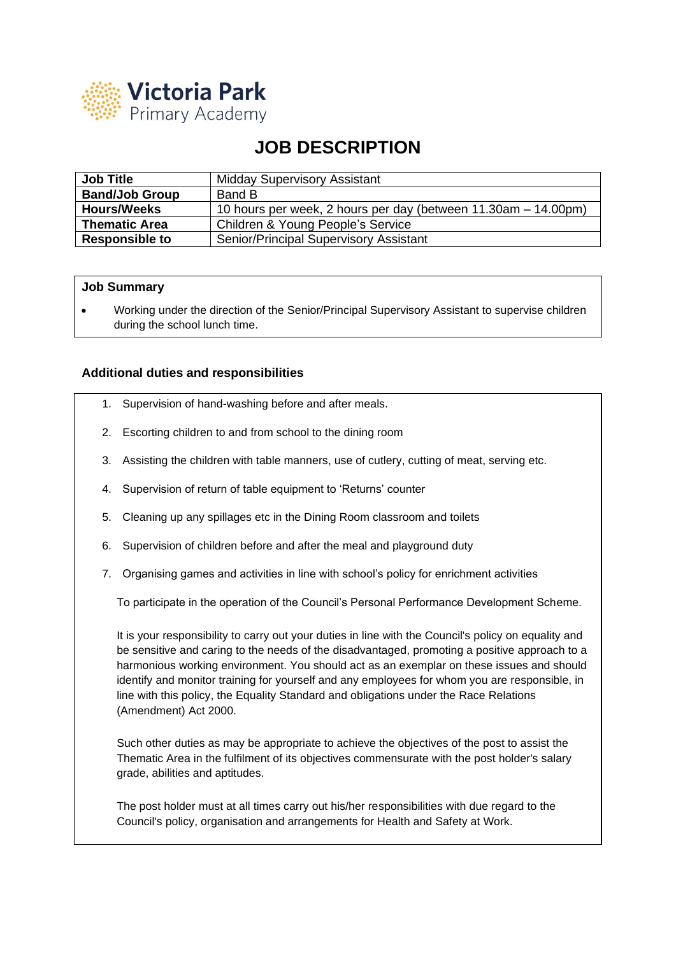

## **JOB DESCRIPTION**

| <b>Job Title</b>      | <b>Midday Supervisory Assistant</b>                            |
|-----------------------|----------------------------------------------------------------|
| <b>Band/Job Group</b> | Band B                                                         |
| <b>Hours/Weeks</b>    | 10 hours per week, 2 hours per day (between 11.30am – 14.00pm) |
| <b>Thematic Area</b>  | Children & Young People's Service                              |
| <b>Responsible to</b> | Senior/Principal Supervisory Assistant                         |

## **Job Summary**

• Working under the direction of the Senior/Principal Supervisory Assistant to supervise children during the school lunch time.

## **Additional duties and responsibilities**

- 1. Supervision of hand-washing before and after meals.
- 2. Escorting children to and from school to the dining room
- 3. Assisting the children with table manners, use of cutlery, cutting of meat, serving etc.
- 4. Supervision of return of table equipment to 'Returns' counter
- 5. Cleaning up any spillages etc in the Dining Room classroom and toilets
- 6. Supervision of children before and after the meal and playground duty
- 7. Organising games and activities in line with school's policy for enrichment activities

To participate in the operation of the Council's Personal Performance Development Scheme.

It is your responsibility to carry out your duties in line with the Council's policy on equality and be sensitive and caring to the needs of the disadvantaged, promoting a positive approach to a harmonious working environment. You should act as an exemplar on these issues and should identify and monitor training for yourself and any employees for whom you are responsible, in line with this policy, the Equality Standard and obligations under the Race Relations (Amendment) Act 2000.

Such other duties as may be appropriate to achieve the objectives of the post to assist the Thematic Area in the fulfilment of its objectives commensurate with the post holder's salary grade, abilities and aptitudes.

The post holder must at all times carry out his/her responsibilities with due regard to the Council's policy, organisation and arrangements for Health and Safety at Work.